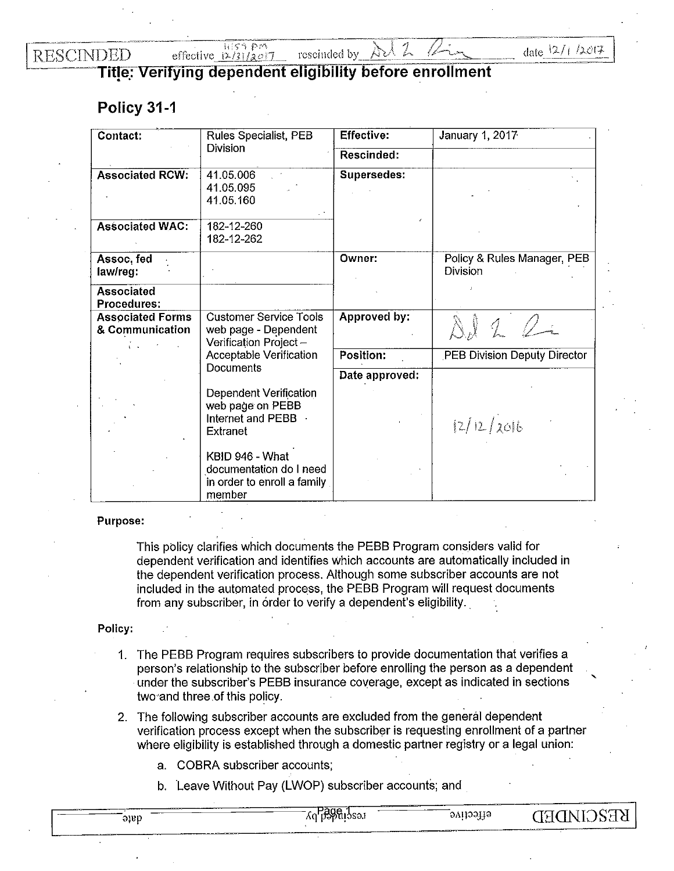**RESCINDED** 

自行序 巨的 effective  $\frac{1}{2}$ /3|/2017

date  $12/1/2017$ 

**'** 

**Title: Verifying dependent eligibility before enrollment** 

rescinded by

## **Policy 31-1**

| Contact:                                   | Rules Specialist, PEB                                                               | <b>Effective:</b> | <b>January 1, 2017</b>                         |
|--------------------------------------------|-------------------------------------------------------------------------------------|-------------------|------------------------------------------------|
|                                            | <b>Division</b>                                                                     | Rescinded:        |                                                |
| <b>Associated RCW:</b>                     | 41.05.006<br>41.05.095<br>41.05.160                                                 | Supersedes:       |                                                |
| <b>Associated WAC:</b>                     | 182-12-260<br>182-12-262                                                            |                   |                                                |
| Assoc, fed<br>law/reg:                     |                                                                                     | Owner:            | Policy & Rules Manager, PEB<br><b>Division</b> |
| <b>Associated</b><br><b>Procedures:</b>    |                                                                                     |                   |                                                |
| <b>Associated Forms</b><br>& Communication | <b>Customer Service Tools</b><br>web page - Dependent<br>Verification Project-      | Approved by:      | 20                                             |
|                                            | Acceptable Verification<br>Documents                                                | Position:         | PEB Division Deputy Director                   |
|                                            |                                                                                     | Date approved:    |                                                |
|                                            | Dependent Verification<br>web page on PEBB<br>Internet and PEBB<br><b>Extranet</b>  |                   | 12/12/2016                                     |
|                                            | KBID 946 - What<br>documentation do I need<br>in order to enroll a family<br>member |                   |                                                |

## Purpose:

This policy clarifies which documents the PEBB Program considers valid for dependent verification and identifies which accounts are automatically included in the dependent verification process. Although some subscriber accounts are not included in the automated process, the PEBB Program will request documents from any subscriber, in order to verify a dependent's eligibility.

## Policy:

- 1. The PEBB Program requires subscribers to provide documentation that verifies a person's relationship to the subscriber before enrolling the person as a dependent under the subscriber's PEBB insurance coverage, except as indicated in sections two"and three of this policy.
- 2. The following subscriber accounts are excluded from the general dependent verification process except when the subscriber is requesting enrollment of a partner where eligibility is established through a domestic partner registry or a legal union:
	- a. COBRA subscriber accounts;
	- b. Leave Without Pay (LWOP) subscriber accounts; and

Aq pagalasa. **KE2CIMDED** effective ່ອງຍຸງ